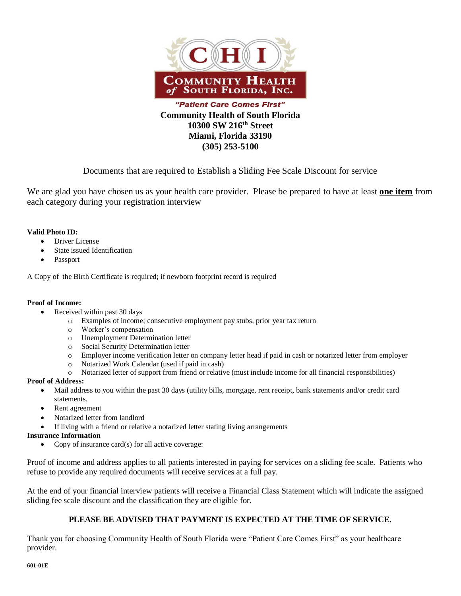

**(305) 253-5100**

Documents that are required to Establish a Sliding Fee Scale Discount for service

We are glad you have chosen us as your health care provider. Please be prepared to have at least **one item** from each category during your registration interview

## **Valid Photo ID:**

- Driver License
- State issued Identification
- Passport

A Copy of the Birth Certificate is required; if newborn footprint record is required

### **Proof of Income:**

- Received within past 30 days
	- o Examples of income; consecutive employment pay stubs, prior year tax return
	- o Worker's compensation
	- o Unemployment Determination letter
	- o Social Security Determination letter
	- o Employer income verification letter on company letter head if paid in cash or notarized letter from employer
	- o Notarized Work Calendar (used if paid in cash)
	- o Notarized letter of support from friend or relative (must include income for all financial responsibilities)

### **Proof of Address:**

- Mail address to you within the past 30 days (utility bills, mortgage, rent receipt, bank statements and/or credit card statements.
- Rent agreement
- Notarized letter from landlord
- If living with a friend or relative a notarized letter stating living arrangements

### **Insurance Information**

Copy of insurance card $(s)$  for all active coverage:

Proof of income and address applies to all patients interested in paying for services on a sliding fee scale. Patients who refuse to provide any required documents will receive services at a full pay.

At the end of your financial interview patients will receive a Financial Class Statement which will indicate the assigned sliding fee scale discount and the classification they are eligible for.

# **PLEASE BE ADVISED THAT PAYMENT IS EXPECTED AT THE TIME OF SERVICE.**

Thank you for choosing Community Health of South Florida were "Patient Care Comes First" as your healthcare provider.